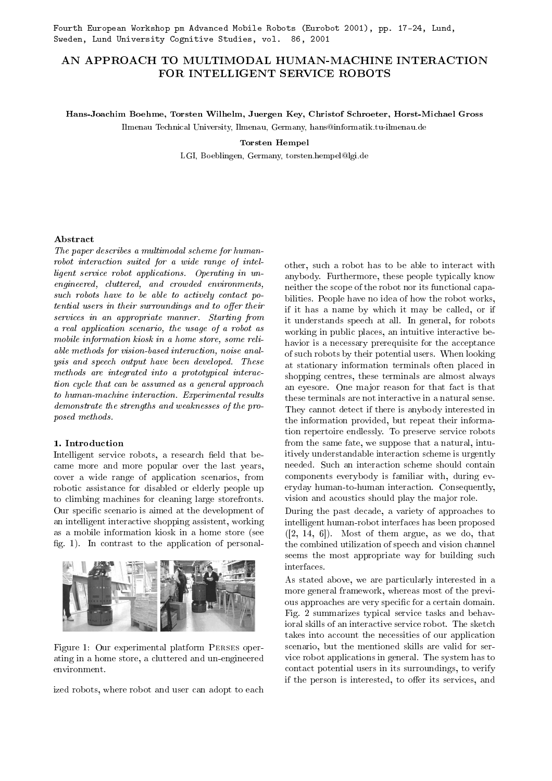# AN APPROACH TO MULTIMODAL HUMAN-MACHINE INTERACTION FOR INTELLIGENT SERVICE ROBOTS

## Hans-Joachim Boehme, Torsten Wilhelm, Juergen Key, Christof Schroeter, Horst-Michael Gross

Ilmenau Technical University, Ilmenau, Germany, hans@informatik.tu-ilmenau.de

### Torsten Hempel

LGI, Boeblingen, Germany, torsten.hempel@lgi.de

## Abstract

The paper describes a multimodal scheme for humanrobot interaction suited for a wide range of intelligent service robot applications. Operating in unengineered, cluttered, and crowded environments, such robots have to be able to actively contact potential users in their surroundings and to offer their services in an appropriate manner. Starting from a real application scenario, the usage of a robot as mobile information kiosk in a home store, some reliable methods for vision-based interaction, noise analysis and speech output have been developed. These methods are integrated into a prototypical interaction cycle that can be assumed as a general approach to human-machine interaction. Experimental results demonstrate the strengths and weaknesses of the proposed methods.

### 1. Introduction

Intelligent service robots, a research field that became more and more popular over the last years, cover a wide range of application scenarios, from robotic assistance for disabled or elderly people up to climbing machines for cleaning large storefronts. Our specific scenario is aimed at the development of an intelligent interactive shopping assistent, working as a mobile information kiosk in a home store (see fig. 1). In contrast to the application of personal-



Figure 1: Our experimental platform Perses operating in a home store, a cluttered and un-engineered environment.

ized robots, where robot and user can adopt to each

other, such a robot has to be able to interact with anybody. Furthermore, these people typically know neither the scope of the robot nor its functional capabilities. People have no idea of how the robot works, if it has a name by which it may be called, or if it understands speech at all. In general, for robots working in public places, an intuitive interactive behavior is a necessary prerequisite for the acceptance of such robots by their potential users. When looking at stationary information terminals often placed in shopping centres, these terminals are almost always an eyesore. One major reason for that fact is that these terminals are not interactive in a natural sense. They cannot detect if there is anybody interested in the information provided, but repeat their information repertoire endlessly. To preserve service robots from the same fate, we suppose that a natural, intuitively understandable interaction scheme is urgently needed. Such an interaction scheme should contain components everybody is familiar with, during everyday human-to-human interaction. Consequently, vision and acoustics should play the major role.

During the past decade, a variety of approaches to intelligent human-robot interfaces has been proposed  $([2, 14, 6])$ . Most of them argue, as we do, that the combined utilization of speech and vision channel seems the most appropriate way for building such interfaces.

As stated above, we are particularly interested in a more general framework, whereas most of the previous approaches are very specific for a certain domain. Fig. 2 summarizes typical service tasks and behavioral skills of an interactive service robot. The sketch takes into account the necessities of our application scenario, but the mentioned skills are valid for service robot applications in general. The system has to contact potential users in its surroundings, to verify if the person is interested, to offer its services, and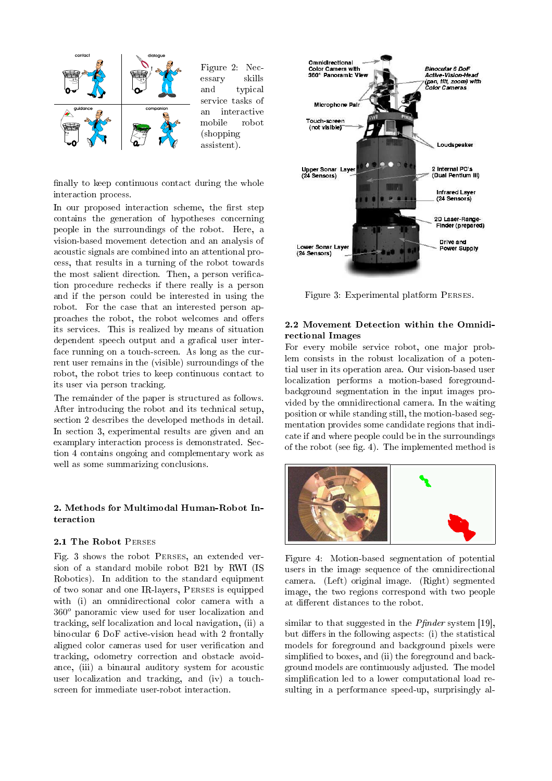

Figure 2: Necessary skills and typical service tasks of an interactive mobile robot (shopping assistent).

finally to keep continuous contact during the whole interaction process.

In our proposed interaction scheme, the first step contains the generation of hypotheses concerning people in the surroundings of the robot. Here, a vision-based movement detection and an analysis of acoustic signals are combined into an attentional process, that results in a turning of the robot towards the most salient direction. Then, a person verification procedure rechecks if there really is a person and if the person could be interested in using the robot. For the case that an interested person approaches the robot, the robot welcomes and offers its services. This is realized by means of situation dependent speech output and a grafical user interface running on a touch-screen. As long as the current user remains in the (visible) surroundings of the robot, the robot tries to keep continuous contact to its user via person tracking.

The remainder of the paper is structured as follows. After introducing the robot and its technical setup, section 2 describes the developed methods in detail. In section 3, experimental results are given and an examplary interaction process is demonstrated. Section 4 contains ongoing and complementary work as well as some summarizing conclusions.

## 2. Methods for Multimodal Human-Robot Interaction

### 2.1 The Robot Perses

Fig. 3 shows the robot Perses, an extended version of a standard mobile robot B21 by RWI (IS Robotics). In addition to the standard equipment of two sonar and one IR-layers, Perses is equipped with (i) an omnidirectional color camera with a  $360<sup>o</sup>$  panoramic view used for user localization and tracking, self localization and local navigation, (ii) a binocular 6 DoF active-vision head with 2 frontally aligned color cameras used for user verification and tracking, odometry correction and obstacle avoidance, (iii) a binaural auditory system for acoustic user localization and tracking, and (iv) a touchscreen for immediate user-robot interaction.



Figure 3: Experimental platform Perses.

## 2.2 Movement Detection within the Omnidirectional Images

For every mobile service robot, one major problem consists in the robust localization of a potential user in its operation area. Our vision-based user localization performs a motion-based foregroundbackground segmentation in the input images provided by the omnidirectional camera. In the waiting position or while standing still, the motion-based segmentation provides some candidate regions that indicate if and where people could be in the surroundings of the robot (see fig. 4). The implemented method is



Figure 4: Motion-based segmentation of potential users in the image sequence of the omnidirectional camera. (Left) original image. (Right) segmented image, the two regions correspond with two people at different distances to the robot.

similar to that suggested in the  $Pfinder$  system [19], but differs in the following aspects: (i) the statistical models for foreground and background pixels were simplified to boxes, and (ii) the foreground and background models are continuously adjusted. The model simplication led to a lower computational load resulting in a performance speed-up, surprisingly al-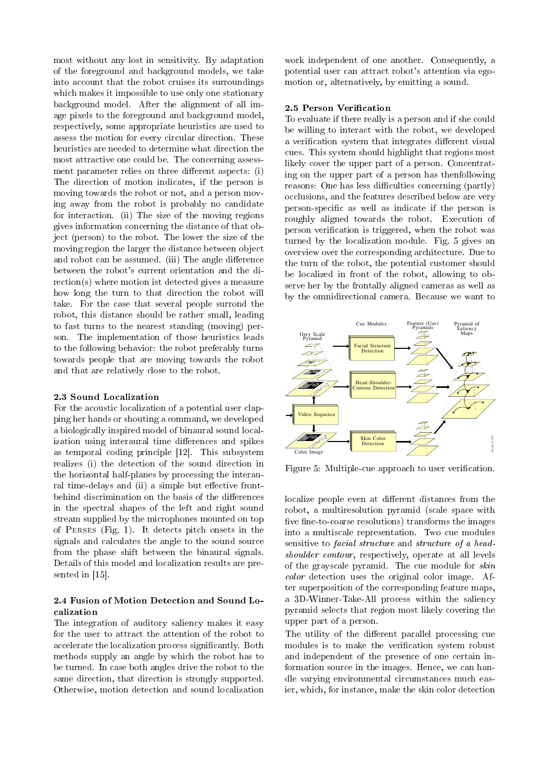most without any lost in sensitivity. By adaptation of the foreground and background models, we take into account that the robot cruises its surroundings which makes it impossible to use only one stationary background model. After the alignment of all image pixels to the foreground and background model, respectively, some appropriate heuristics are used to assess the motion for every circular direction. These heuristics are needed to determine what direction the most attractive one could be. The concerning assessment parameter relies on three different aspects:  $(i)$ The direction of motion indicates, if the person is moving towards the robot or not, and a person moving away from the robot is probably no candidate for interaction. (ii) The size of the moving regions gives information concerning the distance of that object (person) to the robot. The lower the size of the moving region the larger the distance between object and robot can be assumed. (iii) The angle difference between the robot's current orientation and the direction(s) where motion ist detected gives a measure how long the turn to that direction the robot will take. For the case that several people surrond the robot, this distance should be rather small, leading to fast turns to the nearest standing (moving) person. The implementation of those heuristics leads to the following behavior: the robot preferably turns towards people that are moving towards the robot and that are relatively close to the robot.

#### 2.3 Sound Localization

For the acoustic localization of a potential user clapping her hands or shouting a command, we developed a biologically inspired model of binaural sound localization using interaural time differences and spikes as temporal coding principle [12]. This subsystem realizes (i) the detection of the sound direction in the horizontal half-planes by processing the interaural time-delays and (ii) a simple but effective frontbehind discrimination on the basis of the differences in the spectral shapes of the left and right sound stream supplied by the microphones mounted on top of Perses (Fig. 1). It detects pitch onsets in the signals and calculates the angle to the sound source from the phase shift between the binaural signals. Details of this model and localization results are presented in [15].

## 2.4 Fusion of Motion Detection and Sound Localization

The integration of auditory saliency makes it easy for the user to attract the attention of the robot to accelerate the localization process signicantly. Both methods supply an angle by which the robot has to be turned. In case both angles drive the robot to the same direction, that direction is strongly supported. Otherwise, motion detection and sound localization

work independent of one another. Consequently, a potential user can attract robot's attention via egomotion or, alternatively, by emitting a sound.

### 2.5 Person Verification

To evaluate if there really is a person and if she could be willing to interact with the robot, we developed a verification system that integrates different visual cues. This system should highlight that regions most likely cover the upper part of a person. Concentrating on the upper part of a person has thenfollowing reasons: One has less difficulties concerning (partly) occlusions, and the features described below are very person-specific as well as indicate if the person is roughly aligned towards the robot. Execution of person verification is triggered, when the robot was turned by the localization module. Fig. 5 gives an overview over the corresponding architecture. Due to the turn of the robot, the potential customer should be localized in front of the robot, allowing to observe her by the frontally aligned cameras as well as by the omnidirectional camera. Because we want to



Figure 5: Multiple-cue approach to user verification.

localize people even at different distances from the robot, a multiresolution pyramid (scale space with five fine-to-coarse resolutions) transforms the images into a multiscale representation. Two cue modules sensitive to facial structure and structure of a headshoulder contour, respectively, operate at all levels of the grayscale pyramid. The cue module for skin color detection uses the original color image. After superposition of the corresponding feature maps, a 3D-Winner-Take-All process within the saliency pyramid selects that region most likely covering the upper part of a person.

The utility of the different parallel processing cue modules is to make the verification system robust and independent of the presence of one certain information source in the images. Hence, we can handle varying environmental circumstances much easier, which, for instance, make the skin color detection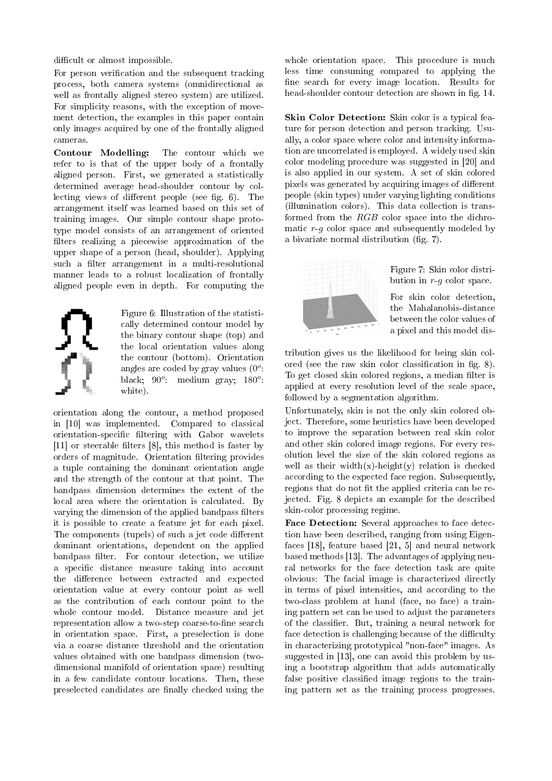difficult or almost impossible.

For person verification and the subsequent tracking process, both camera systems (omnidirectional as well as frontally aligned stereo system) are utilized. For simplicity reasons, with the exception of movement detection, the examples in this paper contain only images acquired by one of the frontally aligned cameras.

Contour Modelling: The contour which we refer to is that of the upper body of a frontally aligned person. First, we generated a statistically determined average head-shoulder contour by collecting views of different people (see fig.  $6$ ). The arrangement itself was learned based on this set of training images. Our simple contour shape prototype model consists of an arrangement of oriented filters realizing a piecewise approximation of the upper shape of a person (head, shoulder). Applying such a filter arrangement in a multi-resolutional manner leads to a robust localization of frontally aligned people even in depth. For computing the

Figure 6: Illustration of the statistically determined contour model by the binary contour shape (top) and the local orientation values along the contour (bottom). Orientation angles are coded by gray values  $(0^o)$ : black;  $90^\circ$ : medium gray;  $180^\circ$ : white).

orientation along the contour, a method proposed in [10] was implemented. Compared to classical orientation-specific filtering with Gabor wavelets  $[11]$  or steerable filters  $[8]$ , this method is faster by orders of magnitude. Orientation filtering provides a tuple containing the dominant orientation angle and the strength of the contour at that point. The bandpass dimension determines the extent of the local area where the orientation is calculated. By varying the dimension of the applied bandpass filters it is possible to create a feature jet for each pixel. The components (tupels) of such a jet code different dominant orientations, dependent on the applied bandpass filter. For contour detection, we utilize a specific distance measure taking into account the difference between extracted and expected orientation value at every contour point as well as the contribution of each contour point to the whole contour model. Distance measure and jet representation allow a two-step coarse-to-fine search in orientation space. First, a preselection is done via a coarse distance threshold and the orientation values obtained with one bandpass dimension (twodimensional manifold of orientation space) resulting in a few candidate contour locations. Then, these preselected candidates are finally checked using the

whole orientation space. This procedure is much less time consuming compared to applying the fine search for every image location. Results for head-shoulder contour detection are shown in fig. 14.

Skin Color Detection: Skin color is a typical feature for person detection and person tracking. Usually, a color space where color and intensity information are uncorrelated is employed. A widely used skin color modeling procedure was suggested in [20] and is also applied in our system. A set of skin colored pixels was generated by acquiring images of different people (skin types) under varying lighting conditions (illumination colors). This data collection is transformed from the RGB color space into the dichromatic  $r-g$  color space and subsequently modeled by a bivariate normal distribution (fig. 7).



Figure 7: Skin color distribution in  $r-a$  color space.

For skin color detection, the Mahalanobis-distance between the color values of a pixel and this model dis-

tribution gives us the likelihood for being skin colored (see the raw skin color classification in fig. 8). To get closed skin colored regions, a median filter is applied at every resolution level of the scale space, followed by a segmentation algorithm.

Unfortunately, skin is not the only skin colored object. Therefore, some heuristics have been developed to improve the separation between real skin color and other skin colored image regions. For every resolution level the size of the skin colored regions as well as their width(x)-height(y) relation is checked according to the expected face region. Subsequently, regions that do not fit the applied criteria can be rejected. Fig. 8 depicts an example for the described skin-color processing regime.

Face Detection: Several approaches to face detection have been described, ranging from using Eigenfaces [18], feature based [21, 5] and neural network based methods [13]. The advantages of applying neural networks for the face detection task are quite obvious: The facial image is characterized directly in terms of pixel intensities, and according to the two-class problem at hand (face, no face) a training pattern set can be used to adjust the parameters of the classifier. But, training a neural network for face detection is challenging because of the difficulty in characterizing prototypical "non-face" images. As suggested in [13], one can avoid this problem by using a bootstrap algorithm that adds automatically false positive classified image regions to the training pattern set as the training process progresses.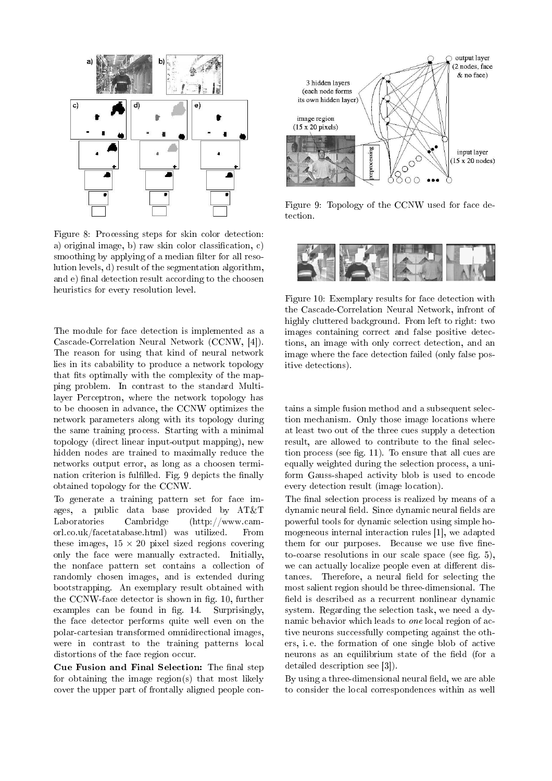

Figure 8: Processing steps for skin color detection: a) original image, b) raw skin color classification, c) smoothing by applying of a median filter for all resolution levels, d) result of the segmentation algorithm, and e) final detection result according to the choosen heuristics for every resolution level.

The module for face detection is implemented as a Cascade-Correlation Neural Network (CCNW, [4]). The reason for using that kind of neural network lies in its cabability to produce a network topology that fits optimally with the complexity of the mapping problem. In contrast to the standard Multilayer Perceptron, where the network topology has to be choosen in advance, the CCNW optimizes the network parameters along with its topology during the same training process. Starting with a minimal topology (direct linear input-output mapping), new hidden nodes are trained to maximally reduce the networks output error, as long as a choosen termination criterion is fulfilled. Fig. 9 depicts the finally obtained topology for the CCNW.

To generate a training pattern set for face images, a public data base provided by AT&T Laboratories Cambridge (http://www.camorl.co.uk/facetatabase.html) was utilized. From these images,  $15 \times 20$  pixel sized regions covering only the face were manually extracted. Initially, the nonface pattern set contains a collection of randomly chosen images, and is extended during bootstrapping. An exemplary result obtained with the CCNW-face detector is shown in fig. 10, further examples can be found in fig. 14. Surprisingly, the face detector performs quite well even on the polar-cartesian transformed omnidirectional images, were in contrast to the training patterns local distortions of the face region occur.

Cue Fusion and Final Selection: The final step for obtaining the image region(s) that most likely cover the upper part of frontally aligned people con-



Figure 9: Topology of the CCNW used for face detection.



Figure 10: Exemplary results for face detection with the Cascade-Correlation Neural Network, infront of highly cluttered background. From left to right: two images containing correct and false positive detections, an image with only correct detection, and an image where the face detection failed (only false positive detections).

tains a simple fusion method and a subsequent selection mechanism. Only those image locations where at least two out of the three cues supply a detection result, are allowed to contribute to the final selection process (see fig. 11). To ensure that all cues are equally weighted during the selection process, a uniform Gauss-shaped activity blob is used to encode every detection result (image location).

The final selection process is realized by means of a dynamic neural field. Since dynamic neural fields are powerful tools for dynamic selection using simple homogeneous internal interaction rules [1], we adapted them for our purposes. Because we use five fineto-coarse resolutions in our scale space (see fig.  $5$ ), we can actually localize people even at different distances. Therefore, a neural field for selecting the most salient region should be three-dimensional. The field is described as a recurrent nonlinear dynamic system. Regarding the selection task, we need a dynamic behavior which leads to one local region of active neurons successfully competing against the others, i. e. the formation of one single blob of active neurons as an equilibrium state of the field (for a detailed description see [3]).

By using a three-dimensional neural field, we are able to consider the local correspondences within as well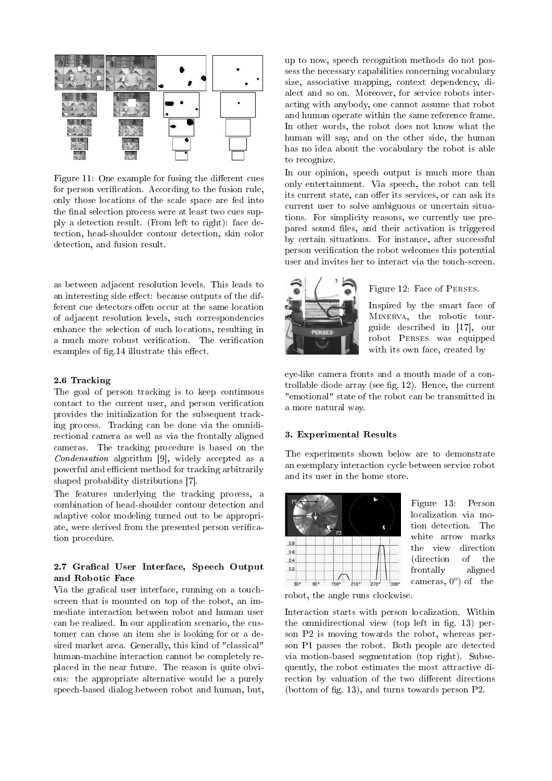

Figure 11: One example for fusing the different cues for person verification. According to the fusion rule, only those locations of the scale space are fed into the final selection process were at least two cues supply a detection result. (From left to right): face detection, head-shoulder contour detection, skin color detection, and fusion result.

as between adjacent resolution levels. This leads to an interesting side effect: because outputs of the different cue detectors offen occur at the same location of adjacent resolution levels, such correspondencies enhance the selection of such locations, resulting in a much more robust verification. The verification examples of fig.14 illustrate this effect.

#### 2.6 Tracking

The goal of person tracking is to keep continuous contact to the current user, and person verification provides the initialization for the subsequent tracking process. Tracking can be done via the omnidirectional camera as well as via the frontally aligned cameras. The tracking procedure is based on the Condensation algorithm [9], widely accepted as a powerful and efficient method for tracking arbitrarily shaped probability distributions [7].

The features underlying the tracking process, a combination of head-shoulder contour detection and adaptive color modeling turned out to be appropriate, were derived from the presented person verification procedure.

## 2.7 Grafical User Interface, Speech Output and Robotic Face

Via the grafical user interface, running on a touchscreen that is mounted on top of the robot, an immediate interaction between robot and human user can be realized. In our application scenario, the customer can chose an item she is looking for or a desired market area. Generally, this kind of "classical" human-machine interaction cannot be completely replaced in the near future. The reason is quite obvious: the appropriate alternative would be a purely speech-based dialog between robot and human, but,

up to now, speech recognition methods do not possess the necessary capabilities concerning vocabulary size, associative mapping, context dependency, dialect and so on. Moreover, for service robots interacting with anybody, one cannot assume that robot and human operate within the same reference frame. In other words, the robot does not know what the human will say, and on the other side, the human has no idea about the vocabulary the robot is able to recognize.

In our opinion, speech output is much more than only entertainment. Via speech, the robot can tell its current state, can offer its services, or can ask its current user to solve ambiguous or uncertain situations. For simplicity reasons, we currently use prepared sound files, and their activation is triggered by certain situations. For instance, after successful person verification the robot welcomes this potential user and invites her to interact via the touch-screen.



### Figure 12: Face of Perses.

Inspired by the smart face of Minerva, the robotic tourguide described in [17], our robot Perses was equipped with its own face, created by

eye-like camera fronts and a mouth made of a controllable diode array (see fig.  $12$ ). Hence, the current "emotional" state of the robot can be transmitted in a more natural way.

#### 3. Experimental Results

The experiments shown below are to demonstrate an exemplary interaction cycle between service robot and its user in the home store.



Figure 13: Person localization via motion detection. The white arrow marks the view direction (direction of the frontally aligned cameras,  $0^{\circ}$  of the

robot, the angle runs clockwise.

Interaction starts with person localization. Within the omnidirectional view (top left in fig. 13) person P2 is moving towards the robot, whereas person P1 passes the robot. Both people are detected via motion-based segmentation (top right). Subsequently, the robot estimates the most attractive direction by valuation of the two different directions (bottom of fig. 13), and turns towards person  $P2$ .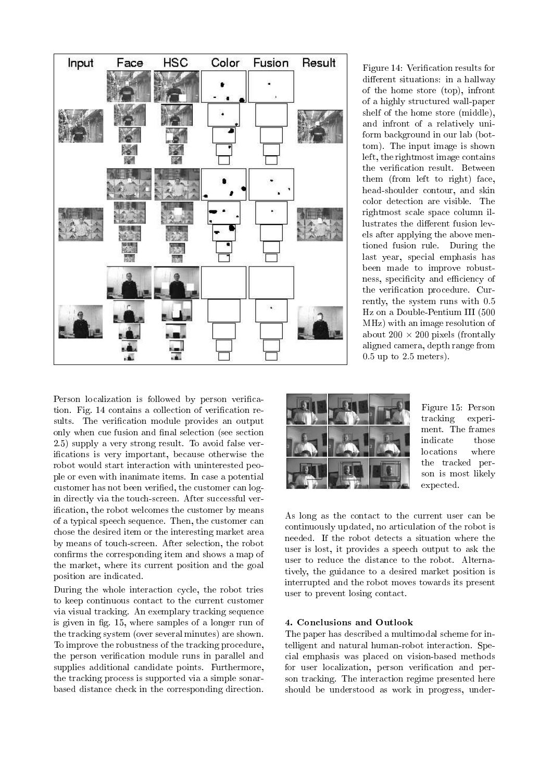

Figure 14: Verification results for different situations: in a hallway of the home store (top), infront of a highly structured wall-paper shelf of the home store (middle), and infront of a relatively uniform background in our lab (bottom). The input image is shown left, the rightmost image contains the verification result. Between them (from left to right) face, head-shoulder contour, and skin color detection are visible. The rightmost scale space column illustrates the different fusion levels after applying the above mentioned fusion rule. During the last year, special emphasis has been made to improve robustness, specificity and efficiency of the verification procedure. Currently, the system runs with 0.5 Hz on a Double-Pentium III (500 MHz) with an image resolution of about  $200 \times 200$  pixels (frontally aligned camera, depth range from 0.5 up to 2.5 meters).

Person localization is followed by person verification. Fig. 14 contains a collection of verification results. The verification module provides an output only when cue fusion and final selection (see section 2.5) supply a very strong result. To avoid false verifications is very important, because otherwise the robot would start interaction with uninterested people or even with inanimate items. In case a potential customer has not been verified, the customer can login directly via the touch-screen. After successful verification, the robot welcomes the customer by means of a typical speech sequence. Then, the customer can chose the desired item or the interesting market area by means of touch-screen. After selection, the robot confirms the corresponding item and shows a map of the market, where its current position and the goal position are indicated.

During the whole interaction cycle, the robot tries to keep continuous contact to the current customer via visual tracking. An exemplary tracking sequence is given in fig. 15, where samples of a longer run of the tracking system (over several minutes) are shown. To improve the robustness of the tracking procedure, the person verification module runs in parallel and supplies additional candidate points. Furthermore, the tracking process is supported via a simple sonarbased distance check in the corresponding direction.



Figure 15: Person tracking experiment. The frames indicate those locations where the tracked person is most likely expected.

As long as the contact to the current user can be continuously updated, no articulation of the robot is needed. If the robot detects a situation where the user is lost, it provides a speech output to ask the user to reduce the distance to the robot. Alternatively, the guidance to a desired market position is interrupted and the robot moves towards its present user to prevent losing contact.

### 4. Conclusions and Outlook

The paper has described a multimodal scheme for intelligent and natural human-robot interaction. Special emphasis was placed on vision-based methods for user localization, person verification and person tracking. The interaction regime presented here should be understood as work in progress, under